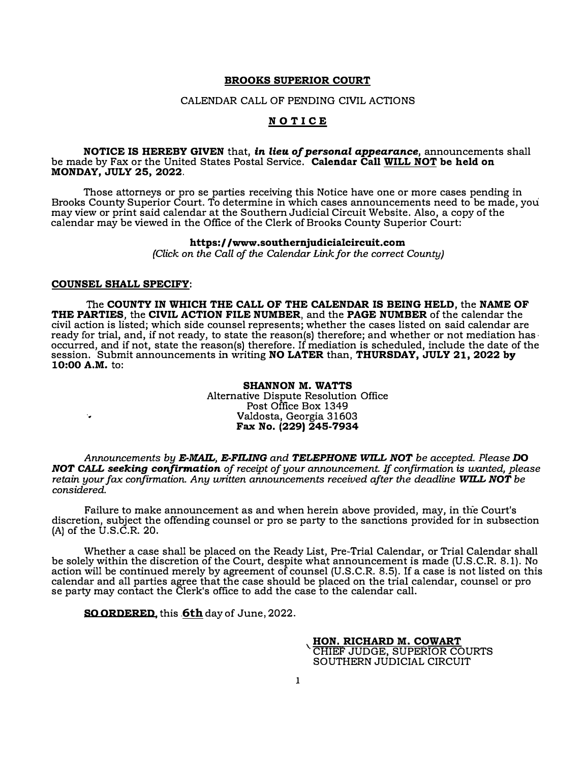#### BROOKS SUPERIOR COURT

#### CALENDAR CALL OF PENDING CIVIL ACTIONS

#### **NOTICE**

#### NOTICE IS HEREBY GIVEN that, in lieu of personal appearance, announcements shall be made by Fax or the United States Postal Service. Calendar Call WILL NOT be held on MONDAY, JULY 25, 2022.

Those attorneys or pro se parties receiving this Notice have one or more cases pending in Brooks County Superior Court. To determine in which cases announcements need to be made, you may view or print said calendar at the Southern Judicial Circuit Website. Also, a copy of the calendar may be viewed in the Office of the Clerk of Brooks County Superior Court:

#### https://www.southernjudicialcircuit.com

(Click on the Call of the Calendar Link for the correct County)

#### COUNSEL SHALL SPECIFY:

The COUNTY IN WHICH THE CALL OF THE CALENDAR IS BEING HELD, the NAME OF THE PARTIES, the CIVIL ACTION FILE NUMBER, and the PAGE NUMBER of the calendar the civil action is listed; which side counsel represents; whether the cases listed on said calendar are ready for trial, and, if not ready, to state the reason(s) therefore; and whether or not mediation has  $\cdot$ occurred, and if not, state the reason(s) therefore. If mediation is scheduled, include the date of the session. Submit announcements in writing **NO LATER** than, **THURSDAY, JULY 21, 2022 by** 10:00 A.M. to:

#### SHANNON M. WATTS Alternative Dispute Resolution Office Post Office Box 1349 .. Valdosta, Georgia 31603 Fax No.  $(229)$  245-7934

Announcements by E-MAIL, E-FILING and TELEPHONE WILL NOT be accepted. Please DO NOT CALL seeking confirmation of receipt of your announcement. If confirmation is wanted, please retain your fax confirmation. Any written announcements received after the deadline **WILL NOT** be considered.

Failure to make announcement as and when herein above provided, may, in the Court's discretion, subject the offending counsel or pro se party to the sanctions provided for in subsection (A) of the U.S.C.R. 20.

Whether a case shall be placed on the Ready List, Pre-Trial Calendar, or Trial Calendar shall be solely within the discretion of the Court, despite what announcement is made (U.S.C.R. 8.1). No action will be continued merely by agreement of counsel (U.S.C.R. 8.5). If a case is not listed on this calendar and all parties agree that the case should be placed on the trial calendar, counsel or pro se party may contact the Clerk's office to add the case to the calendar call.

SO ORDERED, this 6**6th** day of June, 2022.

'HON. RICHARD M. COWART CHIEF JUDGE, SUPERIOR COURTS SOUTHERN JUDICIAL CIRCUIT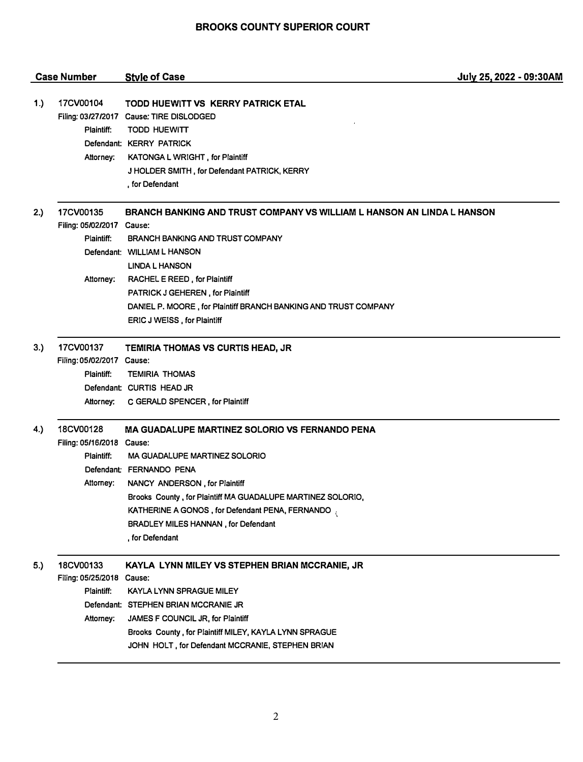|     | <b>Case Number</b>                                                | <b>Style of Case</b>                                                                                                                                                                                                                                                                                                                    | July 25, 2022 - 09:30AM |
|-----|-------------------------------------------------------------------|-----------------------------------------------------------------------------------------------------------------------------------------------------------------------------------------------------------------------------------------------------------------------------------------------------------------------------------------|-------------------------|
| 1.) | 17CV00104<br>Plaintiff:<br>Attorney:                              | <b>TODD HUEWITT VS KERRY PATRICK ETAL</b><br>Filing: 03/27/2017 Cause: TIRE DISLODGED<br><b>TODD HUEWITT</b><br>Defendant: KERRY PATRICK<br><b>KATONGA L WRIGHT, for Plaintiff</b><br>J HOLDER SMITH, for Defendant PATRICK, KERRY<br>, for Defendant                                                                                   |                         |
| 2.) | 17CV00135<br>Filing: 05/02/2017 Cause:<br>Plaintiff:<br>Attorney: | BRANCH BANKING AND TRUST COMPANY VS WILLIAM L HANSON AN LINDA L HANSON<br><b>BRANCH BANKING AND TRUST COMPANY</b><br>Defendant: WILLIAM L HANSON<br><b>LINDA L HANSON</b><br>RACHEL E REED, for Plaintiff                                                                                                                               |                         |
|     |                                                                   | <b>PATRICK J GEHEREN, for Plaintiff</b><br>DANIEL P. MOORE, for Plaintiff BRANCH BANKING AND TRUST COMPANY<br>ERIC J WEISS, for Plaintiff                                                                                                                                                                                               |                         |
| 3.) | 17CV00137<br>Filing: 05/02/2017 Cause:<br>Plaintiff:<br>Attorney: | TEMIRIA THOMAS VS CURTIS HEAD, JR<br><b>TEMIRIA THOMAS</b><br>Defendant: CURTIS HEAD JR<br>C GERALD SPENCER, for Plaintiff                                                                                                                                                                                                              |                         |
| 4.) | 18CV00128<br>Filing: 05/16/2018 Cause:<br>Plaintiff:<br>Attorney: | <b>MA GUADALUPE MARTINEZ SOLORIO VS FERNANDO PENA</b><br><b>MA GUADALUPE MARTINEZ SOLORIO</b><br>Defendant: FERNANDO PENA<br>NANCY ANDERSON, for Plaintiff<br>Brooks County, for Plaintiff MA GUADALUPE MARTINEZ SOLORIO,<br>KATHERINE A GONOS, for Defendant PENA, FERNANDO,<br>BRADLEY MILES HANNAN, for Defendant<br>, for Defendant |                         |
| 5.) | 18CV00133<br>Filing: 05/25/2018<br>Plaintiff:<br>Attorney:        | KAYLA LYNN MILEY VS STEPHEN BRIAN MCCRANIE, JR<br>Cause:<br>KAYLA LYNN SPRAGUE MILEY<br>Defendant: STEPHEN BRIAN MCCRANIE JR<br>JAMES F COUNCIL JR, for Plaintiff<br>Brooks County, for Plaintiff MILEY, KAYLA LYNN SPRAGUE<br>JOHN HOLT, for Defendant MCCRANIE, STEPHEN BRIAN                                                         |                         |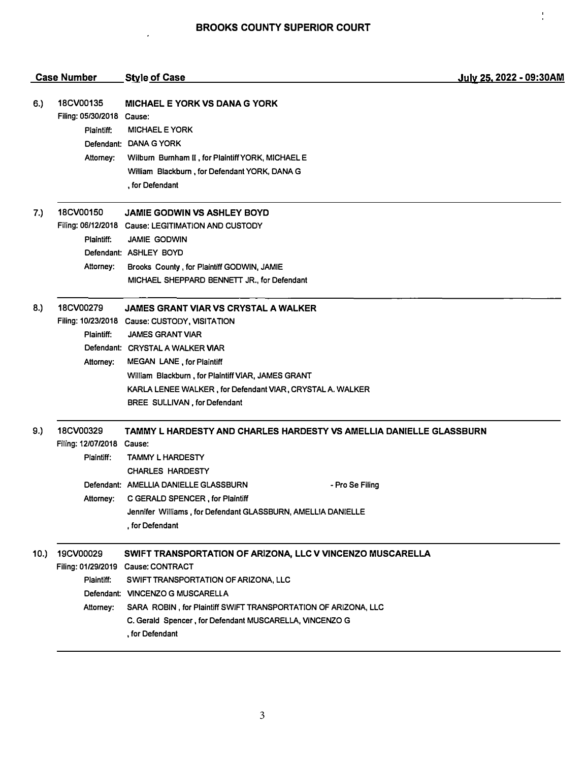$\frac{1}{4}$ 

|     | <b>Case Number</b>                                                | <b>Style of Case</b>                                                                                                                                                                                                                                                                                                                               | July 25, 2022 - 09:30AM |
|-----|-------------------------------------------------------------------|----------------------------------------------------------------------------------------------------------------------------------------------------------------------------------------------------------------------------------------------------------------------------------------------------------------------------------------------------|-------------------------|
| 6.) | 18CV00135<br>Filing: 05/30/2018 Cause:<br>Plaintiff:<br>Attorney: | MICHAEL E YORK VS DANA G YORK<br><b>MICHAEL E YORK</b><br>Defendant: DANA G YORK<br>Wilburn Burnham II, for Plaintiff YORK, MICHAEL E<br>William Blackburn, for Defendant YORK, DANA G<br>, for Defendant                                                                                                                                          |                         |
| 7.) | 18CV00150<br>Plaintiff:<br>Attorney:                              | <b>JAMIE GODWIN VS ASHLEY BOYD</b><br>Filing: 06/12/2018 Cause: LEGITIMATION AND CUSTODY<br><b>JAMIE GODWIN</b><br>Defendant: ASHLEY BOYD<br>Brooks County, for Plaintiff GODWIN, JAMIE<br>MICHAEL SHEPPARD BENNETT JR., for Defendant                                                                                                             |                         |
| 8.) | 18CV00279<br>Plaintiff:<br>Attorney:                              | <b>JAMES GRANT VIAR VS CRYSTAL A WALKER</b><br>Filing: 10/23/2018 Cause: CUSTODY, VISITATION<br><b>JAMES GRANT VIAR</b><br>Defendant: CRYSTAL A WALKER VIAR<br><b>MEGAN LANE, for Plaintiff</b><br>William Blackburn, for Plaintiff VIAR, JAMES GRANT<br>KARLA LENEE WALKER, for Defendant VIAR, CRYSTAL A. WALKER<br>BREE SULLIVAN, for Defendant |                         |
| 9.) | 18CV00329<br>Filing: 12/07/2018 Cause:<br>Plaintiff:<br>Attorney: | TAMMY L HARDESTY AND CHARLES HARDESTY VS AMELLIA DANIELLE GLASSBURN<br><b>TAMMY L HARDESTY</b><br><b>CHARLES HARDESTY</b><br>Defendant: AMELLIA DANIELLE GLASSBURN<br>- Pro Se Filing<br>C GERALD SPENCER, for Plaintiff<br>Jennifer Williams, for Defendant GLASSBURN, AMELLIA DANIELLE<br>. for Defendant                                        |                         |
| 10. | 19CV00029<br>Plaintiff:<br>Attorney:                              | SWIFT TRANSPORTATION OF ARIZONA, LLC V VINCENZO MUSCARELLA<br>Filing: 01/29/2019 Cause: CONTRACT<br>SWIFT TRANSPORTATION OF ARIZONA, LLC<br>Defendant: VINCENZO G MUSCARELLA<br>SARA ROBIN, for Plaintiff SWIFT TRANSPORTATION OF ARIZONA, LLC<br>C. Gerald Spencer, for Defendant MUSCARELLA, VINCENZO G<br>, for Defendant                       |                         |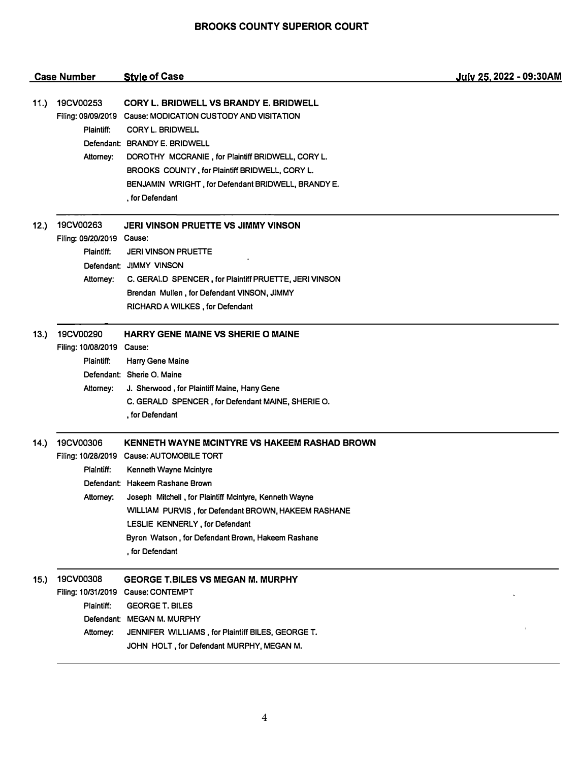|       | <b>Case Number</b>                                                | <b>Style of Case</b>                                                                                                                                                                                                                                                                                                                                                               | July 25, 2022 - 09:30AM |
|-------|-------------------------------------------------------------------|------------------------------------------------------------------------------------------------------------------------------------------------------------------------------------------------------------------------------------------------------------------------------------------------------------------------------------------------------------------------------------|-------------------------|
| 11.)  | 19CV00253<br>Plaintiff:<br>Attorney:                              | CORY L. BRIDWELL VS BRANDY E. BRIDWELL<br>Filing: 09/09/2019 Cause: MODICATION CUSTODY AND VISITATION<br>CORY L. BRIDWELL<br>Defendant: BRANDY E. BRIDWELL<br>DOROTHY MCCRANIE, for Plaintiff BRIDWELL, CORY L.<br>BROOKS COUNTY, for Plaintiff BRIDWELL, CORY L.<br>BENJAMIN WRIGHT, for Defendant BRIDWELL, BRANDY E.<br>, for Defendant                                         |                         |
| 12.)  | 19CV00263<br>Filing: 09/20/2019 Cause:<br>Plaintiff:<br>Attorney: | JERI VINSON PRUETTE VS JIMMY VINSON<br><b>JERI VINSON PRUETTE</b><br>Defendant: JIMMY VINSON<br>C. GERALD SPENCER, for Plaintiff PRUETTE, JERI VINSON<br>Brendan Mullen, for Defendant VINSON, JIMMY<br>RICHARD A WILKES, for Defendant                                                                                                                                            |                         |
| 13.)  | 19CV00290<br>Filing: 10/08/2019 Cause:<br>Plaintiff:<br>Attorney: | <b>HARRY GENE MAINE VS SHERIE O MAINE</b><br>Harry Gene Maine<br>Defendant: Sherie O. Maine<br>J. Sherwood, for Plaintiff Maine, Hany Gene<br>C. GERALD SPENCER, for Defendant MAINE, SHERIE O.<br>, for Defendant                                                                                                                                                                 |                         |
| (14.) | 19CV00306<br>Plaintiff:<br>Attorney:                              | KENNETH WAYNE MCINTYRE VS HAKEEM RASHAD BROWN<br>Filing: 10/28/2019 Cause: AUTOMOBILE TORT<br>Kenneth Wayne Mcintyre<br>Defendant: Hakeem Rashane Brown<br>Joseph Mitchell, for Plaintiff Mcintyre, Kenneth Wayne<br>WILLIAM PURVIS, for Defendant BROWN, HAKEEM RASHANE<br>LESLIE KENNERLY, for Defendant<br>Byron Watson, for Defendant Brown, Hakeem Rashane<br>, for Defendant |                         |
| 15.)  | 19CV00308<br>Plaintiff:<br>Attorney:                              | <b>GEORGE T.BILES VS MEGAN M. MURPHY</b><br>Filing: 10/31/2019 Cause: CONTEMPT<br><b>GEORGE T. BILES</b><br>Defendant: MEGAN M. MURPHY<br>JENNIFER WILLIAMS, for Plaintiff BILES, GEORGE T.<br>JOHN HOLT, for Defendant MURPHY, MEGAN M.                                                                                                                                           |                         |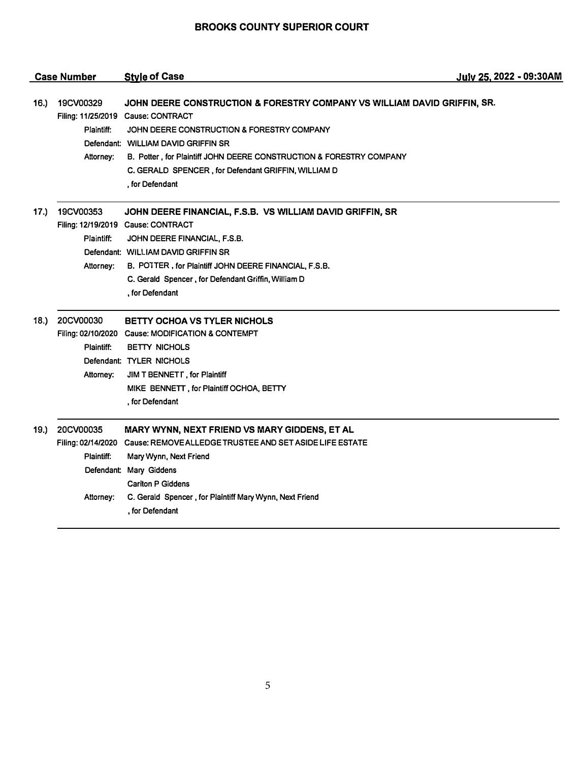|      | <b>Case Number</b>                   | <b>Style of Case</b>                                                                                                                                                                                                                                                                                                                                 | July 25, 2022 - 09:30AM |
|------|--------------------------------------|------------------------------------------------------------------------------------------------------------------------------------------------------------------------------------------------------------------------------------------------------------------------------------------------------------------------------------------------------|-------------------------|
| 16.) | 19CV00329<br>Plaintiff:<br>Attorney: | JOHN DEERE CONSTRUCTION & FORESTRY COMPANY VS WILLIAM DAVID GRIFFIN, SR.<br>Filing: 11/25/2019 Cause: CONTRACT<br>JOHN DEERE CONSTRUCTION & FORESTRY COMPANY<br>Defendant: WILLIAM DAVID GRIFFIN SR<br>B. Potter, for Plaintiff JOHN DEERE CONSTRUCTION & FORESTRY COMPANY<br>C. GERALD SPENCER, for Defendant GRIFFIN, WILLIAM D<br>, for Defendant |                         |
| 17.  | 19CV00353<br>Plaintiff:<br>Attorney: | JOHN DEERE FINANCIAL, F.S.B. VS WILLIAM DAVID GRIFFIN, SR<br>Filing: 12/19/2019 Cause: CONTRACT<br>JOHN DEERE FINANCIAL, F.S.B.<br>Defendant: WILLIAM DAVID GRIFFIN SR<br>B. POTTER, for Plaintiff JOHN DEERE FINANCIAL, F.S.B.<br>C. Gerald Spencer, for Defendant Griffin, William D<br>, for Defendant                                            |                         |
| 18.  | 20CV00030<br>Plaintiff:<br>Attorney: | BETTY OCHOA VS TYLER NICHOLS<br>Filing: 02/10/2020 Cause: MODIFICATION & CONTEMPT<br><b>BETTY NICHOLS</b><br>Defendant: TYLER NICHOLS<br>JIM T BENNETT, for Plaintiff<br>MIKE BENNETT, for Plaintiff OCHOA, BETTY<br>, for Defendant                                                                                                                 |                         |
| 19.) | 20CV00035<br>Plaintiff:<br>Attorney: | MARY WYNN, NEXT FRIEND VS MARY GIDDENS, ET AL<br>Filing: 02/14/2020 Cause: REMOVE ALLEDGE TRUSTEE AND SET ASIDE LIFE ESTATE<br>Mary Wynn, Next Friend<br>Defendant: Mary Giddens<br><b>Cariton P Giddens</b><br>C. Gerald Spencer, for Plaintiff Mary Wynn, Next Friend<br>, for Defendant                                                           |                         |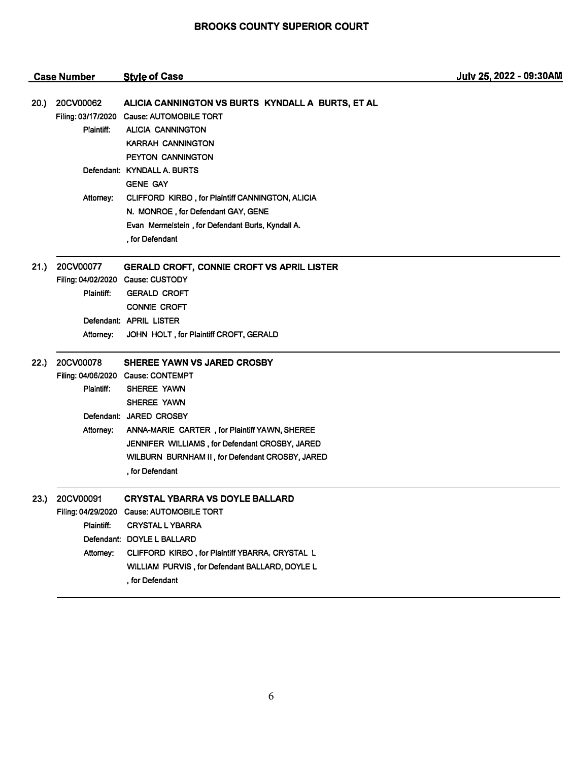|      | <b>Case Number</b>                            | <b>Style of Case</b>                                                                                                                                                                                                                                                                                       | July 25, 2022 - 09:30AM |
|------|-----------------------------------------------|------------------------------------------------------------------------------------------------------------------------------------------------------------------------------------------------------------------------------------------------------------------------------------------------------------|-------------------------|
| 20.) | 20CV00062<br>Filing: 03/17/2020<br>Plaintiff: | ALICIA CANNINGTON VS BURTS KYNDALL A BURTS, ET AL<br><b>Cause: AUTOMOBILE TORT</b><br><b>ALICIA CANNINGTON</b><br>KARRAH CANNINGTON<br>PEYTON CANNINGTON                                                                                                                                                   |                         |
|      |                                               | Defendant: KYNDALL A. BURTS<br><b>GENE GAY</b>                                                                                                                                                                                                                                                             |                         |
|      | Attomey:                                      | CLIFFORD KIRBO, for Plaintiff CANNINGTON, ALICIA<br>N. MONROE, for Defendant GAY, GENE<br>Evan Mermelstein, for Defendant Burts, Kyndall A.<br>, for Defendant                                                                                                                                             |                         |
| 21.) | 20CV00077<br>Plaintiff:                       | GERALD CROFT, CONNIE CROFT VS APRIL LISTER<br>Filing: 04/02/2020 Cause: CUSTODY<br><b>GERALD CROFT</b><br><b>CONNIE CROFT</b>                                                                                                                                                                              |                         |
|      | Attorney:                                     | Defendant: APRIL LISTER<br>JOHN HOLT, for Plaintiff CROFT, GERALD                                                                                                                                                                                                                                          |                         |
| 22.) | 20CV00078<br>Plaintiff:<br>Attorney:          | <b>SHEREE YAWN VS JARED CROSBY</b><br>Filing: 04/06/2020 Cause: CONTEMPT<br>SHEREE YAWN<br>SHEREE YAWN<br>Defendant: JARED CROSBY<br>ANNA-MARIE CARTER, for Plaintiff YAWN, SHEREE<br>JENNIFER WILLIAMS, for Defendant CROSBY, JARED<br>WILBURN BURNHAM II, for Defendant CROSBY, JARED<br>. for Defendant |                         |
| 23.) | 20CV00091<br>Plaintiff:<br>Attomey:           | <b>CRYSTAL YBARRA VS DOYLE BALLARD</b><br>Filing: 04/29/2020 Cause: AUTOMOBILE TORT<br><b>CRYSTAL L YBARRA</b><br>Defendant: DOYLE L BALLARD<br>CLIFFORD KIRBO, for Plaintiff YBARRA, CRYSTAL L<br>WILLIAM PURVIS, for Defendant BALLARD, DOYLE L<br>, for Defendant                                       |                         |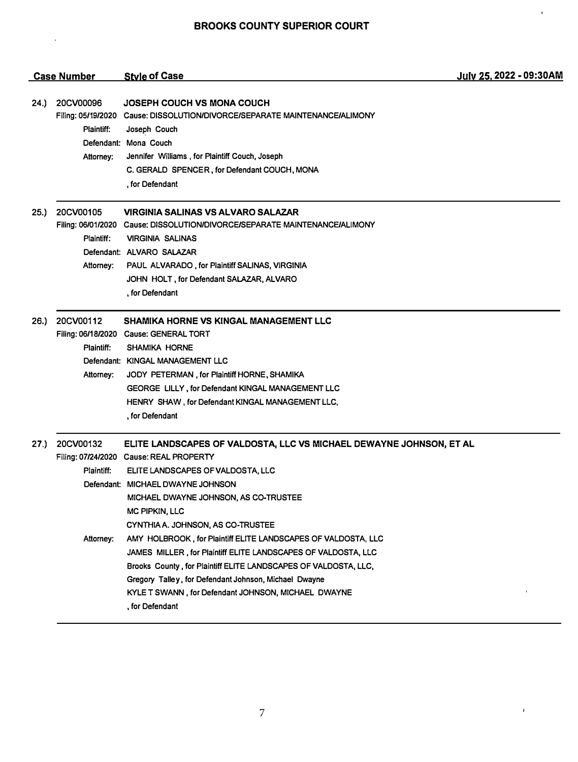$\hat{\boldsymbol{\epsilon}}$ 

 $\bar{\mathbf{I}}$ 

 $\epsilon$ 

|      | <b>Case Number</b>                   | <b>Style of Case</b>                                                                                                                                                                                                                                                                                                                                                                                                                                                                                                                                                                                                             | July 25, 2022 - 09:30AM |
|------|--------------------------------------|----------------------------------------------------------------------------------------------------------------------------------------------------------------------------------------------------------------------------------------------------------------------------------------------------------------------------------------------------------------------------------------------------------------------------------------------------------------------------------------------------------------------------------------------------------------------------------------------------------------------------------|-------------------------|
| 24.) | 20CV00096<br>Plaintiff:<br>Attorney: | JOSEPH COUCH VS MONA COUCH<br>Filing: 05/19/2020 Cause: DISSOLUTION/DIVORCE/SEPARATE MAINTENANCE/ALIMONY<br>Joseph Couch<br>Defendant: Mona Couch<br>Jennifer Williams, for Plaintiff Couch, Joseph<br>C. GERALD SPENCER, for Defendant COUCH, MONA<br>, for Defendant                                                                                                                                                                                                                                                                                                                                                           |                         |
| 25.  | 20CV00105<br>Plaintiff:<br>Attorney: | <b>VIRGINIA SALINAS VS ALVARO SALAZAR</b><br>Filing: 06/01/2020 Cause: DISSOLUTION/DIVORCE/SEPARATE MAINTENANCE/ALIMONY<br><b>VIRGINIA SALINAS</b><br>Defendant: ALVARO SALAZAR<br>PAUL ALVARADO, for Plaintiff SALINAS, VIRGINIA<br>JOHN HOLT, for Defendant SALAZAR, ALVARO<br>, for Defendant                                                                                                                                                                                                                                                                                                                                 |                         |
| 26.  | 20CV00112<br>Plaintiff:<br>Attorney: | <b>SHAMIKA HORNE VS KINGAL MANAGEMENT LLC</b><br>Filing: 06/18/2020 Cause: GENERAL TORT<br><b>SHAMIKA HORNE</b><br>Defendant: KINGAL MANAGEMENT LLC<br>JODY PETERMAN, for Plaintiff HORNE, SHAMIKA<br><b>GEORGE LILLY, for Defendant KINGAL MANAGEMENT LLC</b><br>HENRY SHAW, for Defendant KINGAL MANAGEMENT LLC,<br>, for Defendant                                                                                                                                                                                                                                                                                            |                         |
| 27.) | 20CV00132<br>Plaintiff:<br>Attorney: | ELITE LANDSCAPES OF VALDOSTA, LLC VS MICHAEL DEWAYNE JOHNSON, ET AL<br>Filing: 07/24/2020 Cause: REAL PROPERTY<br>ELITE LANDSCAPES OF VALDOSTA, LLC<br>Defendant: MICHAEL DWAYNE JOHNSON<br>MICHAEL DWAYNE JOHNSON, AS CO-TRUSTEE<br>MC PIPKIN, LLC<br>CYNTHIA A. JOHNSON, AS CO-TRUSTEE<br>AMY HOLBROOK, for Plaintiff ELITE LANDSCAPES OF VALDOSTA, LLC<br>JAMES MILLER, for Plaintiff ELITE LANDSCAPES OF VALDOSTA, LLC<br>Brooks County, for Plaintiff ELITE LANDSCAPES OF VALDOSTA, LLC,<br>Gregory Talley, for Defendant Johnson, Michael Dwayne<br>KYLE T SWANN, for Defendant JOHNSON, MICHAEL DWAYNE<br>, for Defendant |                         |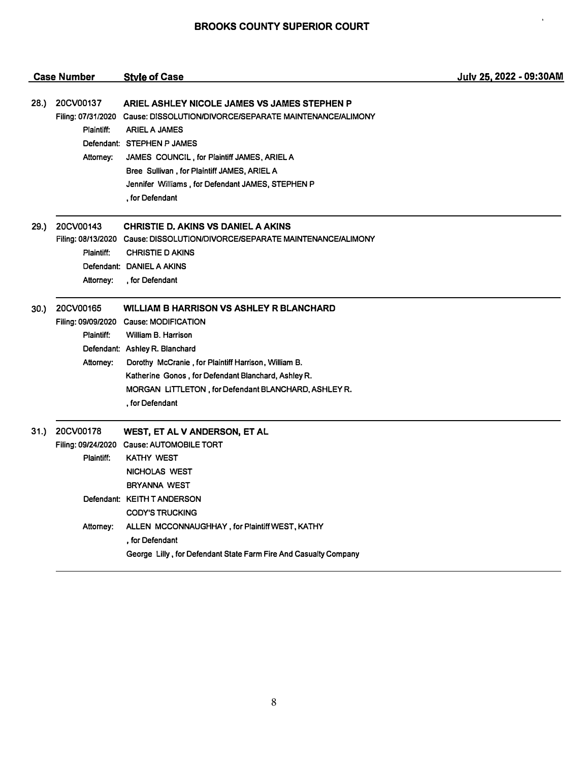|      | <b>Case Number</b>                   | <b>Style of Case</b>                                                                                                                                                                                                                                                                                                                                   | July 25, 2022 - 09:30AM |
|------|--------------------------------------|--------------------------------------------------------------------------------------------------------------------------------------------------------------------------------------------------------------------------------------------------------------------------------------------------------------------------------------------------------|-------------------------|
| 28.) | 20CV00137<br>Plaintiff:<br>Attorney: | ARIEL ASHLEY NICOLE JAMES VS JAMES STEPHEN P<br>Filing: 07/31/2020 Cause: DISSOLUTION/DIVORCE/SEPARATE MAINTENANCE/ALIMONY<br><b>ARIEL A JAMES</b><br>Defendant: STEPHEN P JAMES<br>JAMES COUNCIL, for Plaintiff JAMES, ARIEL A<br>Bree Sullivan, for Plaintiff JAMES, ARIEL A<br>Jennifer Williams, for Defendant JAMES, STEPHEN P<br>, for Defendant |                         |
| 29.) | 20CV00143<br>Plaintiff:<br>Attorney: | <b>CHRISTIE D. AKINS VS DANIEL A AKINS</b><br>Filing: 08/13/2020 Cause: DISSOLUTION/DIVORCE/SEPARATE MAINTENANCE/ALIMONY<br><b>CHRISTIE D AKINS</b><br>Defendant: DANIEL A AKINS<br>, for Defendant                                                                                                                                                    |                         |
| 30.) | 20CV00165<br>Plaintiff:<br>Attorney: | <b>WILLIAM B HARRISON VS ASHLEY R BLANCHARD</b><br>Filing: 09/09/2020 Cause: MODIFICATION<br>William B. Harrison<br>Defendant: Ashley R. Blanchard<br>Dorothy McCranie, for Plaintiff Harrison, William B.<br>Katherine Gonos, for Defendant Blanchard, Ashley R.<br>MORGAN LITTLETON, for Defendant BLANCHARD, ASHLEY R.<br>, for Defendant           |                         |
| 31.) | 20CV00178<br>Plaintiff:<br>Attorney: | WEST, ET AL V ANDERSON, ET AL<br>Filing: 09/24/2020 Cause: AUTOMOBILE TORT<br><b>KATHY WEST</b><br>NICHOLAS WEST<br><b>BRYANNA WEST</b><br>Defendant: KEITH T ANDERSON<br><b>CODY'S TRUCKING</b><br>ALLEN MCCONNAUGHHAY, for Plaintiff WEST, KATHY<br>. for Defendant<br>George Lilly, for Defendant State Farm Fire And Casualty Company              |                         |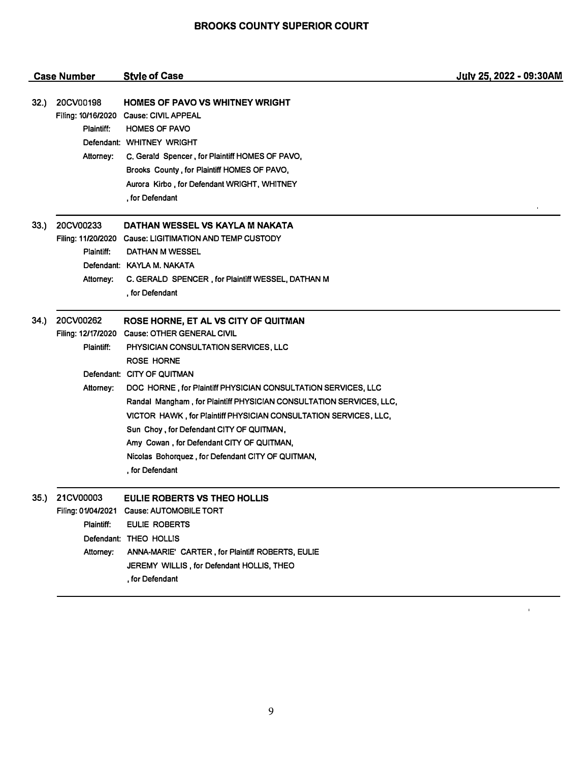|      | <b>Case Number</b>                                              | <b>Style of Case</b>                                                                                                                                                                                                                                                                                                                                                                                                                                                                                                                              | July 25, 2022 - 09:30AM |
|------|-----------------------------------------------------------------|---------------------------------------------------------------------------------------------------------------------------------------------------------------------------------------------------------------------------------------------------------------------------------------------------------------------------------------------------------------------------------------------------------------------------------------------------------------------------------------------------------------------------------------------------|-------------------------|
| 32.) | 20CV00198<br>Filing: 10/16/2020<br>Plaintiff:<br>Attorney:      | HOMES OF PAVO VS WHITNEY WRIGHT<br><b>Cause: CIVIL APPEAL</b><br><b>HOMES OF PAVO</b><br>Defendant: WHITNEY WRIGHT<br>C. Gerald Spencer, for Plaintiff HOMES OF PAVO,<br>Brooks County, for Plaintiff HOMES OF PAVO,<br>Aurora Kirbo, for Defendant WRIGHT, WHITNEY<br>, for Defendant                                                                                                                                                                                                                                                            |                         |
| 33.) | 20CV00233<br>Plaintiff:<br>Attorney:                            | DATHAN WESSEL VS KAYLA M NAKATA<br>Filing: 11/20/2020 Cause: LIGITIMATION AND TEMP CUSTODY<br>DATHAN M WESSEL<br>Defendant: KAYLA M. NAKATA<br>C. GERALD SPENCER, for Plaintiff WESSEL, DATHAN M<br>, for Defendant                                                                                                                                                                                                                                                                                                                               |                         |
| 34.  | 20CV00262<br>Filing: 12/17/2020<br>Plaintiff:<br>Attorney:      | ROSE HORNE, ET AL VS CITY OF QUITMAN<br><b>Cause: OTHER GENERAL CIVIL</b><br>PHYSICIAN CONSULTATION SERVICES, LLC<br><b>ROSE HORNE</b><br>Defendant: CITY OF QUITMAN<br>DOC HORNE, for Plaintiff PHYSICIAN CONSULTATION SERVICES, LLC<br>Randal Mangham, for Plaintiff PHYSICIAN CONSULTATION SERVICES, LLC,<br>VICTOR HAWK, for Plaintiff PHYSICIAN CONSULTATION SERVICES, LLC,<br>Sun Choy, for Defendant CITY OF QUITMAN,<br>Amy Cowan, for Defendant CITY OF QUITMAN,<br>Nicolas Bohorquez, for Defendant CITY OF QUITMAN,<br>, for Defendant |                         |
|      | 35.) 21CV00003<br>Filing: 01/04/2021<br>Plaintiff:<br>Attorney: | EULIE ROBERTS VS THEO HOLLIS<br>Cause: AUTOMOBILE TORT<br><b>EULIE ROBERTS</b><br>Defendant: THEO HOLLIS<br>ANNA-MARIE' CARTER, for Plaintiff ROBERTS, EULIE<br>JEREMY WILLIS, for Defendant HOLLIS, THEO<br>, for Defendant                                                                                                                                                                                                                                                                                                                      |                         |

 $\mathbf{r}^{\prime}$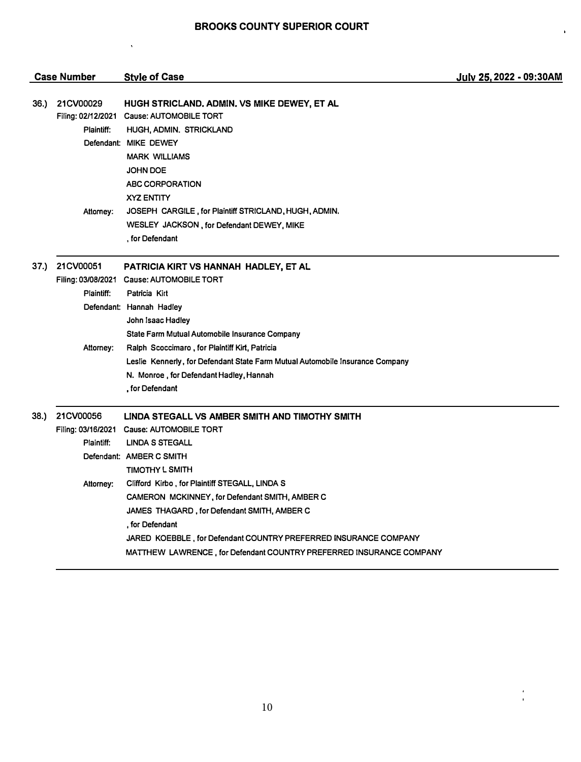$\overline{\mathbf{r}}$ 

 $\mathbf{r}$ 

 $\frac{1}{1}$ 

|      | <b>Case Number</b>                            | <b>Style of Case</b>                                                                                                                                                                                                                                                                                                                                                                                                                                                                         | July 25, 2022 - 09:30AM |
|------|-----------------------------------------------|----------------------------------------------------------------------------------------------------------------------------------------------------------------------------------------------------------------------------------------------------------------------------------------------------------------------------------------------------------------------------------------------------------------------------------------------------------------------------------------------|-------------------------|
| 36.) | 21CV00029<br>Filing: 02/12/2021<br>Plaintiff: | HUGH STRICLAND, ADMIN, VS MIKE DEWEY, ET AL<br><b>Cause: AUTOMOBILE TORT</b><br>HUGH, ADMIN. STRICKLAND<br>Defendant: MIKE DEWEY<br><b>MARK WILLIAMS</b><br><b>JOHN DOE</b><br><b>ABC CORPORATION</b><br><b>XYZ ENTITY</b>                                                                                                                                                                                                                                                                   |                         |
|      | Attomey:                                      | JOSEPH CARGILE, for Plaintiff STRICLAND, HUGH, ADMIN.<br>WESLEY JACKSON, for Defendant DEWEY, MIKE<br>, for Defendant                                                                                                                                                                                                                                                                                                                                                                        |                         |
| 37.) | 21CV00051<br>Plaintiff:<br>Attorney:          | PATRICIA KIRT VS HANNAH HADLEY, ET AL<br>Filing: 03/08/2021 Cause: AUTOMOBILE TORT<br>Patricia Kirt<br>Defendant: Hannah Hadley<br>John Isaac Hadley<br>State Farm Mutual Automobile Insurance Company<br>Ralph Scoccimaro, for Plaintiff Kirt, Patricia<br>Leslie Kennerly, for Defendant State Farm Mutual Automobile Insurance Company<br>N. Monroe, for Defendant Hadley, Hannah<br>, for Defendant                                                                                      |                         |
| 38.) | 21CV00056<br>Plaintiff:<br>Attorney:          | LINDA STEGALL VS AMBER SMITH AND TIMOTHY SMITH<br>Filing: 03/16/2021 Cause: AUTOMOBILE TORT<br><b>LINDA S STEGALL</b><br>Defendant: AMBER C SMITH<br><b>TIMOTHY L SMITH</b><br>Clifford Kirbo, for Plaintiff STEGALL, LINDA S<br>CAMERON MCKINNEY, for Defendant SMITH, AMBER C<br>JAMES THAGARD, for Defendant SMITH, AMBER C<br>, for Defendant<br>JARED KOEBBLE, for Defendant COUNTRY PREFERRED INSURANCE COMPANY<br>MATTHEW LAWRENCE, for Defendant COUNTRY PREFERRED INSURANCE COMPANY |                         |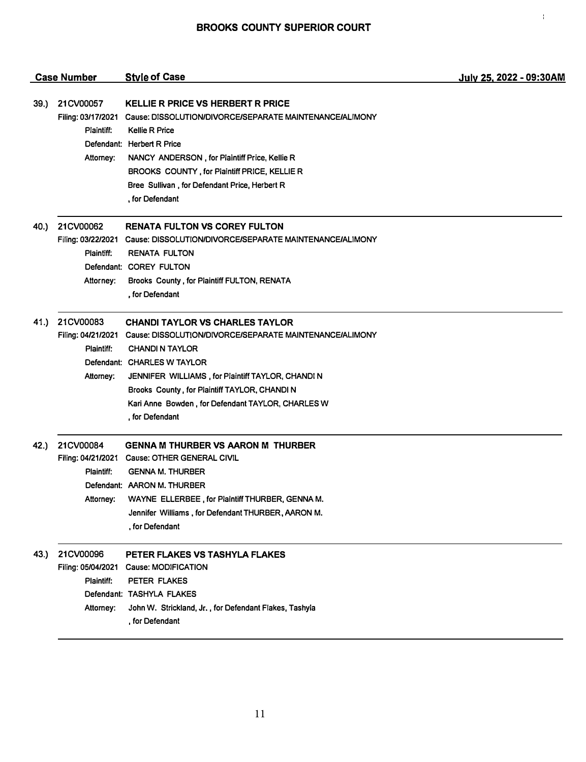$\bar{A}$ 

|              | <b>Case Number</b>                                         | <b>Style of Case</b>                                                                                                                                                                                                                                                                                                                                        | July 25, 2022 - 09:30AM |
|--------------|------------------------------------------------------------|-------------------------------------------------------------------------------------------------------------------------------------------------------------------------------------------------------------------------------------------------------------------------------------------------------------------------------------------------------------|-------------------------|
| <b>39.</b> ) | 21CV00057<br>Filing: 03/17/2021<br>Plaintiff:<br>Attorney: | <b>KELLIE R PRICE VS HERBERT R PRICE</b><br>Cause: DISSOLUTION/DIVORCE/SEPARATE MAINTENANCE/ALIMONY<br><b>Kellie R Price</b><br>Defendant: Herbert R Price<br>NANCY ANDERSON, for Plaintiff Price, Kellie R<br>BROOKS COUNTY, for Plaintiff PRICE, KELLIE R<br>Bree Sullivan, for Defendant Price, Herbert R<br>, for Defendant                             |                         |
| 40.)         | 21CV00062<br>Plaintiff:<br>Attorney:                       | <b>RENATA FULTON VS COREY FULTON</b><br>Filing: 03/22/2021 Cause: DISSOLUTION/DIVORCE/SEPARATE MAINTENANCE/ALIMONY<br><b>RENATA FULTON</b><br>Defendant: COREY FULTON<br>Brooks County, for Plaintiff FULTON, RENATA<br>, for Defendant                                                                                                                     |                         |
| 41.)         | 21CV00083<br>Plaintiff:<br>Attorney:                       | <b>CHANDI TAYLOR VS CHARLES TAYLOR</b><br>Filing: 04/21/2021 Cause: DISSOLUTION/DIVORCE/SEPARATE MAINTENANCE/ALIMONY<br><b>CHANDI N TAYLOR</b><br>Defendant: CHARLES W TAYLOR<br>JENNIFER WILLIAMS, for Plaintiff TAYLOR, CHANDI N<br>Brooks County, for Plaintiff TAYLOR, CHANDI N<br>Kari Anne Bowden, for Defendant TAYLOR, CHARLES W<br>, for Defendant |                         |
| 42.)         | 21CV00084<br>Plaintiff:                                    | <b>GENNA M THURBER VS AARON M THURBER</b><br>Filing: 04/21/2021 Cause: OTHER GENERAL CIVIL<br><b>GENNA M. THURBER</b><br>Defendant: AARON M. THURBER<br>Attorney: WAYNE ELLERBEE, for Plaintiff THURBER, GENNA M.<br>Jennifer Williams, for Defendant THURBER, AARON M.<br>, for Defendant                                                                  |                         |
| 43.)         | 21CV00096<br>Filing: 05/04/2021<br>Plaintiff:<br>Attorney: | PETER FLAKES VS TASHYLA FLAKES<br><b>Cause: MODIFICATION</b><br>PETER FLAKES<br>Defendant: TASHYLA FLAKES<br>John W. Strickland, Jr., for Defendant Flakes, Tashyla<br>, for Defendant                                                                                                                                                                      |                         |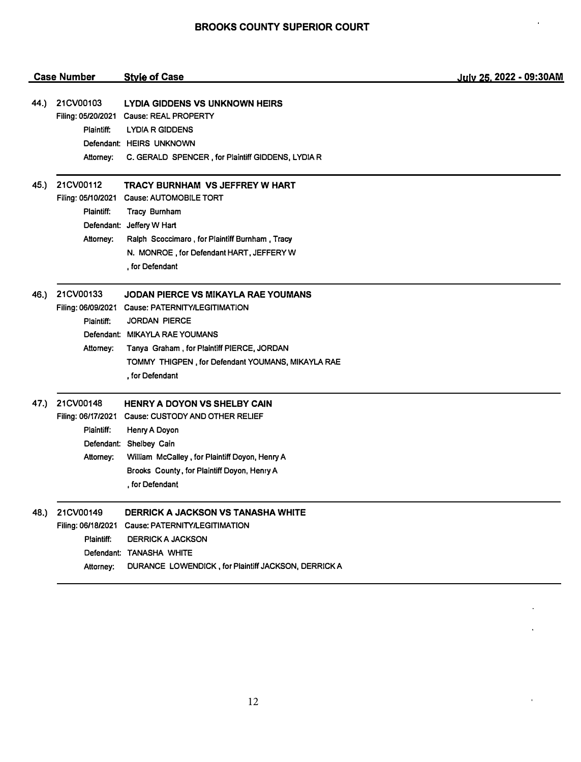#### **Style of Case** Case Number

## 44.) 21CV00103 LYDIA GIDDENS VS UNKNOWN HEIRS Filing: 05/20/2021 Cause: REAL PROPERTY Plaintiff: LYDIA R GIDDENS Defendant: HEIRS UNKNOWN Attorney: C. GERALD SPENCER , for Plaintiff GIDDENS, LYDIA R

- 45.) 21CV00112 Filing: 05/10/2021 Cause: AUTOMOBILE TORT Plaintiff: Defendant: Jeffery W Hart Attorney: TRACY BURNHAM VS JEFFREY W HART Tracy Burnham Ralph Scoccimaro , for Plaintiff Burnham , Tracy N. MONROE , for Defendant HART, JEFFERY W , for Defendant
- 46.) 21CV00133 JODAN PIERCE VS MIKAYLA RAE YOUMANS Filing: 06/09/2021 Cause: PATERNITY/LEGITIMATION Plaintiff: JORDAN PIERCE Defendant: MIKAYLA RAE YOUMANS Attorney: Tanya Graham , for Plaintiff PIERCE, JORDAN TOMMY THIGPEN , for Defendant YOUMANS, MIKAYLA RAE , for Defendant

#### 47.) 21CV00148 HENRY A DOYON VS SHELBY CAIN

Filing: 06117/2021 Cause: CUSTODY AND OTHER RELIEF Plaintiff: Henry A Doyon Defendant: Shelbey Cain Attorney: William Mccalley , for Plaintiff Doyon, Henry A Brooks County, for Plaintiff Doyon, Henry A , for Defendant

# 48.) 21CV00149 DERRICK A JACKSON VS TANASHA WHITE

Filing: 06/18/2021 Cause: PATERNITY/LEGITIMATION Plaintiff: DERRICK A JACKSON Defendant: TANASHA WHITE Attorney: DURANCE LOWENDICK , for Plaintiff JACKSON, DERRICK A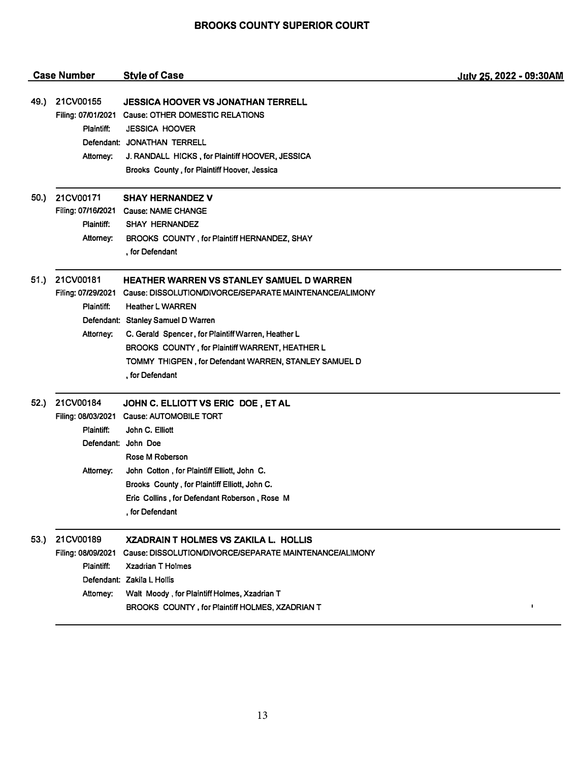|      | <b>Case Number</b>                                         | <b>Style of Case</b>                                                                                                                                                                                                                                                                                                                                                                 | July 25, 2022 - 09:30AM |
|------|------------------------------------------------------------|--------------------------------------------------------------------------------------------------------------------------------------------------------------------------------------------------------------------------------------------------------------------------------------------------------------------------------------------------------------------------------------|-------------------------|
| 49.) | 21CV00155<br>Plaintiff:<br>Attorney:                       | <b>JESSICA HOOVER VS JONATHAN TERRELL</b><br>Filing: 07/01/2021 Cause: OTHER DOMESTIC RELATIONS<br><b>JESSICA HOOVER</b><br>Defendant: JONATHAN TERRELL<br>J. RANDALL HICKS, for Plaintiff HOOVER, JESSICA<br>Brooks County, for Plaintiff Hoover, Jessica                                                                                                                           |                         |
| 50.) | 21CV00171<br>Plaintiff:<br>Attorney:                       | <b>SHAY HERNANDEZ V</b><br>Filing: 07/16/2021 Cause: NAME CHANGE<br><b>SHAY HERNANDEZ</b><br>BROOKS COUNTY, for Plaintiff HERNANDEZ, SHAY<br>, for Defendant                                                                                                                                                                                                                         |                         |
| 51.) | 21CV00181<br>Plaintiff:<br>Attorney:                       | <b>HEATHER WARREN VS STANLEY SAMUEL D WARREN</b><br>Filing: 07/29/2021 Cause: DISSOLUTION/DIVORCE/SEPARATE MAINTENANCE/ALIMONY<br><b>Heather L WARREN</b><br>Defendant: Stanley Samuel D Warren<br>C. Gerald Spencer, for Plaintiff Warren, Heather L<br>BROOKS COUNTY, for Plaintiff WARRENT, HEATHER L<br>TOMMY THIGPEN, for Defendant WARREN, STANLEY SAMUEL D<br>, for Defendant |                         |
| 52.) | 21CV00184<br>Plaintiff:<br>Attorney:                       | JOHN C. ELLIOTT VS ERIC DOE, ET AL<br>Filing: 08/03/2021 Cause: AUTOMOBILE TORT<br>John C. Elliott<br>Defendant: John Doe<br>Rose M Roberson<br>John Cotton, for Plaintiff Elliott, John C.<br>Brooks County, for Plaintiff Elliott, John C.<br>Eric Collins, for Defendant Roberson, Rose M<br>. for Defendant                                                                      |                         |
| 53.) | 21CV00189<br>Filing: 08/09/2021<br>Plaintiff:<br>Attorney: | XZADRAIN T HOLMES VS ZAKILA L. HOLLIS<br>Cause: DISSOLUTION/DIVORCE/SEPARATE MAINTENANCE/ALIMONY<br><b>Xzadrian T Holmes</b><br>Defendant: Zakila L Hollis<br>Walt Moody, for Plaintiff Holmes, Xzadrian T<br>BROOKS COUNTY, for Plaintiff HOLMES, XZADRIAN T                                                                                                                        | $\mathbf I$             |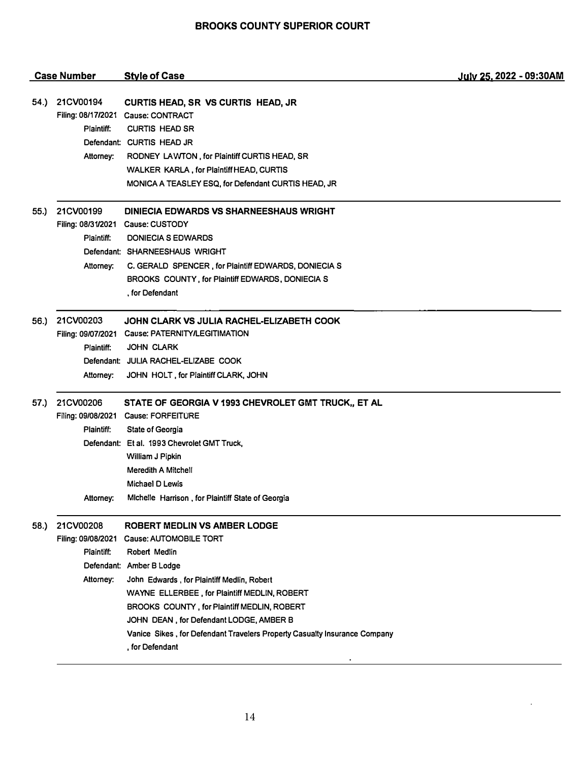|      | <b>Case Number</b>                                         | <b>Style of Case</b>                                                                                                                                                                                                                                                                                                                                                                        | July 25, 2022 - 09:30AM |
|------|------------------------------------------------------------|---------------------------------------------------------------------------------------------------------------------------------------------------------------------------------------------------------------------------------------------------------------------------------------------------------------------------------------------------------------------------------------------|-------------------------|
| 54.) | 21CV00194<br>Plaintiff:<br>Attorney:                       | CURTIS HEAD, SR VS CURTIS HEAD, JR<br>Filing: 08/17/2021 Cause: CONTRACT<br><b>CURTIS HEAD SR</b><br>Defendant: CURTIS HEAD JR<br>RODNEY LAWTON, for Plaintiff CURTIS HEAD, SR<br>WALKER KARLA, for Plaintiff HEAD, CURTIS<br>MONICA A TEASLEY ESQ, for Defendant CURTIS HEAD, JR                                                                                                           |                         |
| 55.) | 21CV00199<br>Plaintiff:<br>Attorney:                       | <b>DINIECIA EDWARDS VS SHARNEESHAUS WRIGHT</b><br>Filing: 08/31/2021 Cause: CUSTODY<br>DONIECIA S EDWARDS<br>Defendant: SHARNEESHAUS WRIGHT<br>C. GERALD SPENCER, for Plaintiff EDWARDS, DONIECIA S<br>BROOKS COUNTY, for Plaintiff EDWARDS, DONIECIA S<br>. for Defendant                                                                                                                  |                         |
| 56.) | 21CV00203<br>Plaintiff:<br>Attorney:                       | JOHN CLARK VS JULIA RACHEL-ELIZABETH COOK<br>Filing: 09/07/2021 Cause: PATERNITY/LEGITIMATION<br><b>JOHN CLARK</b><br>Defendant: JULIA RACHEL-ELIZABE COOK<br>JOHN HOLT, for Plaintiff CLARK, JOHN                                                                                                                                                                                          |                         |
| 57.) | 21CV00206<br>Plaintiff:<br>Attorney:                       | STATE OF GEORGIA V 1993 CHEVROLET GMT TRUCK,, ET AL<br>Filing: 09/08/2021 Cause: FORFEITURE<br><b>State of Georgia</b><br>Defendant: Et al. 1993 Chevrolet GMT Truck,<br>William J Pipkin<br>Meredith A Mitchell<br>Michael D Lewis<br>Michelle Harrison, for Plaintiff State of Georgia                                                                                                    |                         |
| 58.) | 21CV00208<br>Filing: 09/08/2021<br>Plaintiff:<br>Attorney: | ROBERT MEDLIN VS AMBER LODGE<br>Cause: AUTOMOBILE TORT<br>Robert Medlin<br>Defendant: Amber B Lodge<br>John Edwards, for Plaintiff Medlin, Robert<br>WAYNE ELLERBEE, for Plaintiff MEDLIN, ROBERT<br>BROOKS COUNTY, for Plaintiff MEDLIN, ROBERT<br>JOHN DEAN, for Defendant LODGE, AMBER B<br>Vanice Sikes, for Defendant Travelers Property Casualty Insurance Company<br>, for Defendant |                         |

l,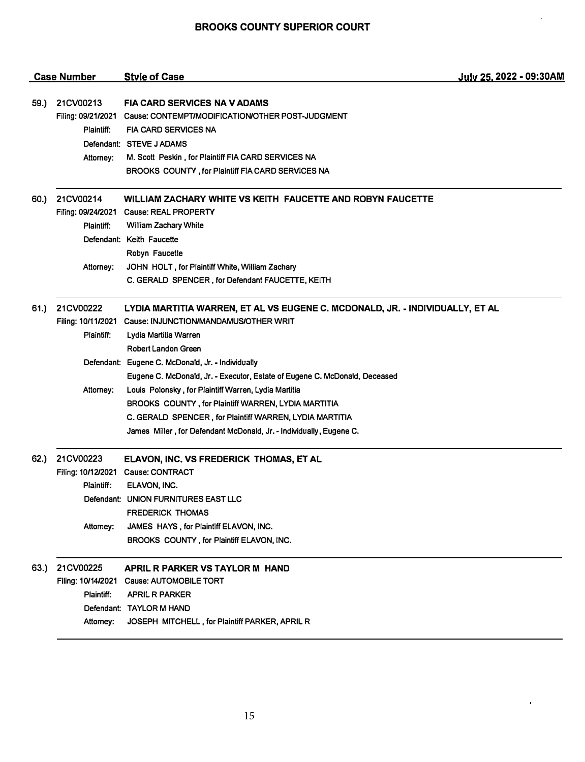$\hat{\mathcal{E}}$ 

 $\mathbf{r}$ 

|      | <b>Case Number</b> | <b>Style of Case</b>                                                          | July 25, 2022 - 09:30AM |
|------|--------------------|-------------------------------------------------------------------------------|-------------------------|
| 59.) | 21CV00213          | <b>FIA CARD SERVICES NA V ADAMS</b>                                           |                         |
|      |                    | Filing: 09/21/2021 Cause: CONTEMPT/MODIFICATION/OTHER POST-JUDGMENT           |                         |
|      | Plaintiff:         | <b>FIA CARD SERVICES NA</b>                                                   |                         |
|      |                    | Defendant: STEVE J ADAMS                                                      |                         |
|      | Attorney:          | M. Scott Peskin, for Plaintiff FIA CARD SERVICES NA                           |                         |
|      |                    | BROOKS COUNTY, for Plaintiff FIA CARD SERVICES NA                             |                         |
| 60.) | 21CV00214          | WILLIAM ZACHARY WHITE VS KEITH FAUCETTE AND ROBYN FAUCETTE                    |                         |
|      |                    | Filing: 09/24/2021 Cause: REAL PROPERTY                                       |                         |
|      | Plaintiff:         | William Zachary White                                                         |                         |
|      |                    | Defendant: Keith Faucette                                                     |                         |
|      |                    | Robyn Faucette                                                                |                         |
|      | Attorney:          | JOHN HOLT, for Plaintiff White, William Zachary                               |                         |
|      |                    | C. GERALD SPENCER, for Defendant FAUCETTE, KEITH                              |                         |
| 61.) | 21CV00222          | LYDIA MARTITIA WARREN, ET AL VS EUGENE C. MCDONALD, JR. - INDIVIDUALLY, ET AL |                         |
|      |                    | Filing: 10/11/2021 Cause: INJUNCTION/MANDAMUS/OTHER WRIT                      |                         |
|      | Plaintiff:         | Lydia Martitia Warren                                                         |                         |
|      |                    | <b>Robert Landon Green</b>                                                    |                         |
|      |                    | Defendant: Eugene C. McDonald, Jr. - Individually                             |                         |
|      |                    | Eugene C. McDonald, Jr. - Executor, Estate of Eugene C. McDonald, Deceased    |                         |
|      | Attorney:          | Louis Polonsky, for Plaintiff Warren, Lydia Martitia                          |                         |
|      |                    | BROOKS COUNTY, for Plaintiff WARREN, LYDIA MARTITIA                           |                         |
|      |                    | C. GERALD SPENCER, for Plaintiff WARREN, LYDIA MARTITIA                       |                         |
|      |                    | James Miller, for Defendant McDonald, Jr. - Individually, Eugene C.           |                         |
| 62.) | 21CV00223          | ELAVON, INC. VS FREDERICK THOMAS, ET AL                                       |                         |
|      |                    | Filing: 10/12/2021 Cause: CONTRACT                                            |                         |
|      | Plaintiff:         | ELAVON, INC.                                                                  |                         |
|      |                    | Defendant: UNION FURNITURES EAST LLC                                          |                         |
|      |                    | <b>FREDERICK THOMAS</b>                                                       |                         |
|      | Attorney:          | JAMES HAYS, for Plaintiff ELAVON, INC.                                        |                         |
|      |                    | BROOKS COUNTY, for Plaintiff ELAVON, INC.                                     |                         |
| 63.) | 21CV00225          | APRIL R PARKER VS TAYLOR M HAND                                               |                         |
|      | Filing: 10/14/2021 | Cause: AUTOMOBILE TORT                                                        |                         |
|      | Plaintiff:         | <b>APRIL R PARKER</b>                                                         |                         |
|      |                    | Defendant: TAYLOR M HAND                                                      |                         |
|      | Attorney:          | JOSEPH MITCHELL, for Plaintiff PARKER, APRIL R                                |                         |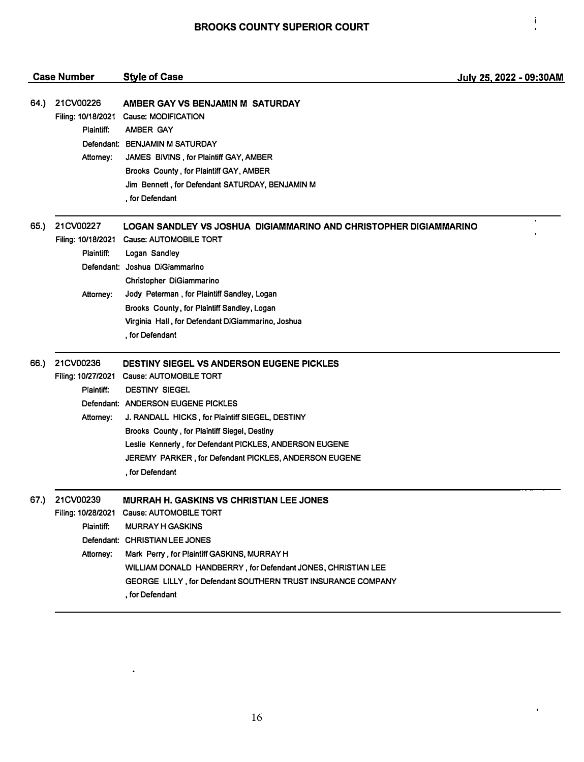$\frac{1}{2}$ 

 $\overline{\phantom{a}}$ 

|      | <b>Case Number</b>                                         | <b>Style of Case</b>                                                                                                                                                                                                                                                                                                                                                                       | July 25, 2022 - 09:30AM |
|------|------------------------------------------------------------|--------------------------------------------------------------------------------------------------------------------------------------------------------------------------------------------------------------------------------------------------------------------------------------------------------------------------------------------------------------------------------------------|-------------------------|
| 64.) | 21CV00226<br>Filing: 10/18/2021<br>Plaintiff:<br>Attorney: | AMBER GAY VS BENJAMIN M SATURDAY<br><b>Cause: MODIFICATION</b><br>AMBER GAY<br>Defendant: BENJAMIN M SATURDAY<br>JAMES BIVINS, for Plaintiff GAY, AMBER<br>Brooks County, for Plaintiff GAY, AMBER<br>Jim Bennett, for Defendant SATURDAY, BENJAMIN M<br>, for Defendant                                                                                                                   |                         |
| 65.) | 21CV00227<br>Filing: 10/18/2021<br>Plaintiff:<br>Attorney: | LOGAN SANDLEY VS JOSHUA DIGIAMMARINO AND CHRISTOPHER DIGIAMMARINO<br><b>Cause: AUTOMOBILE TORT</b><br>Logan Sandley<br>Defendant: Joshua DiGiammarino<br>Christopher DiGiammarino<br>Jody Peterman, for Plaintiff Sandley, Logan                                                                                                                                                           | ٠                       |
|      |                                                            | Brooks County, for Plaintiff Sandley, Logan<br>Virginia Hall, for Defendant DiGiammarino, Joshua<br>, for Defendant                                                                                                                                                                                                                                                                        |                         |
| 66.) | 21CV00236<br>Filing: 10/27/2021<br>Plaintiff:<br>Attorney: | <b>DESTINY SIEGEL VS ANDERSON EUGENE PICKLES</b><br><b>Cause: AUTOMOBILE TORT</b><br><b>DESTINY SIEGEL</b><br>Defendant: ANDERSON EUGENE PICKLES<br>J. RANDALL HICKS, for Plaintiff SIEGEL, DESTINY<br>Brooks County, for Plaintiff Siegel, Destiny<br>Leslie Kennerly, for Defendant PICKLES, ANDERSON EUGENE<br>JEREMY PARKER, for Defendant PICKLES, ANDERSON EUGENE<br>, for Defendant |                         |
| 67.) | 21CV00239<br>Plaintiff:<br>Attorney:                       | MURRAH H. GASKINS VS CHRISTIAN LEE JONES<br>Filing: 10/28/2021 Cause: AUTOMOBILE TORT<br><b>MURRAY H GASKINS</b><br>Defendant: CHRISTIAN LEE JONES<br>Mark Perry, for Plaintiff GASKINS, MURRAY H<br>WILLIAM DONALD HANDBERRY, for Defendant JONES, CHRISTIAN LEE<br>GEORGE LILLY, for Defendant SOUTHERN TRUST INSURANCE COMPANY<br>, for Defendant                                       |                         |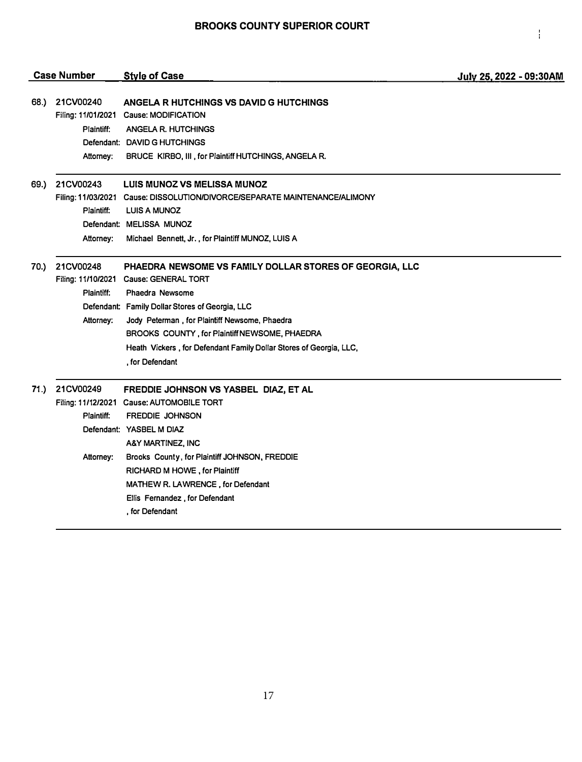|      | <b>Case Number</b> | <b>Style of Case</b>                                                       | July 25, 2022 - 09:30AM |
|------|--------------------|----------------------------------------------------------------------------|-------------------------|
|      |                    |                                                                            |                         |
| 68.) | 21CV00240          | ANGELA R HUTCHINGS VS DAVID G HUTCHINGS                                    |                         |
|      |                    | Filing: 11/01/2021 Cause: MODIFICATION                                     |                         |
|      | Plaintiff:         | ANGELA R. HUTCHINGS                                                        |                         |
|      |                    | Defendant: DAVID G HUTCHINGS                                               |                         |
|      | Attorney;          | BRUCE KIRBO, III, for Plaintiff HUTCHINGS, ANGELA R.                       |                         |
| 69.) | 21CV00243          | LUIS MUNOZ VS MELISSA MUNOZ                                                |                         |
|      |                    | Filing: 11/03/2021 Cause: DISSOLUTION/DIVORCE/SEPARATE MAINTENANCE/ALIMONY |                         |
|      | Plaintiff:         | <b>LUIS A MUNOZ</b>                                                        |                         |
|      |                    | Defendant: MELISSA MUNOZ                                                   |                         |
|      | Attorney:          | Michael Bennett, Jr., for Plaintiff MUNOZ, LUIS A                          |                         |
| 70.) | 21CV00248          | PHAEDRA NEWSOME VS FAMILY DOLLAR STORES OF GEORGIA, LLC                    |                         |
|      |                    | Filing: 11/10/2021 Cause: GENERAL TORT                                     |                         |
|      | Plaintiff:         | <b>Phaedra Newsome</b>                                                     |                         |
|      |                    | Defendant: Family Dollar Stores of Georgia, LLC                            |                         |
|      | Attorney:          | Jody Peterman, for Plaintiff Newsome, Phaedra                              |                         |
|      |                    | BROOKS COUNTY, for Plaintiff NEWSOME, PHAEDRA                              |                         |
|      |                    | Heath Vickers, for Defendant Family Dollar Stores of Georgia, LLC,         |                         |
|      |                    | , for Defendant                                                            |                         |
| 71.) | 21CV00249          | FREDDIE JOHNSON VS YASBEL DIAZ, ET AL                                      |                         |
|      |                    | Filing: 11/12/2021 Cause: AUTOMOBILE TORT                                  |                         |
|      | Plaintiff:         | <b>FREDDIE JOHNSON</b>                                                     |                         |
|      |                    | Defendant: YASBEL M DIAZ                                                   |                         |
|      |                    | A&Y MARTINEZ, INC                                                          |                         |
|      | Attorney:          | Brooks County, for Plaintiff JOHNSON, FREDDIE                              |                         |
|      |                    | RICHARD M HOWE, for Plaintiff                                              |                         |
|      |                    | MATHEW R. LAWRENCE, for Defendant                                          |                         |
|      |                    | Ellis Fernandez, for Defendant                                             |                         |
|      |                    | , for Defendant                                                            |                         |
|      |                    |                                                                            |                         |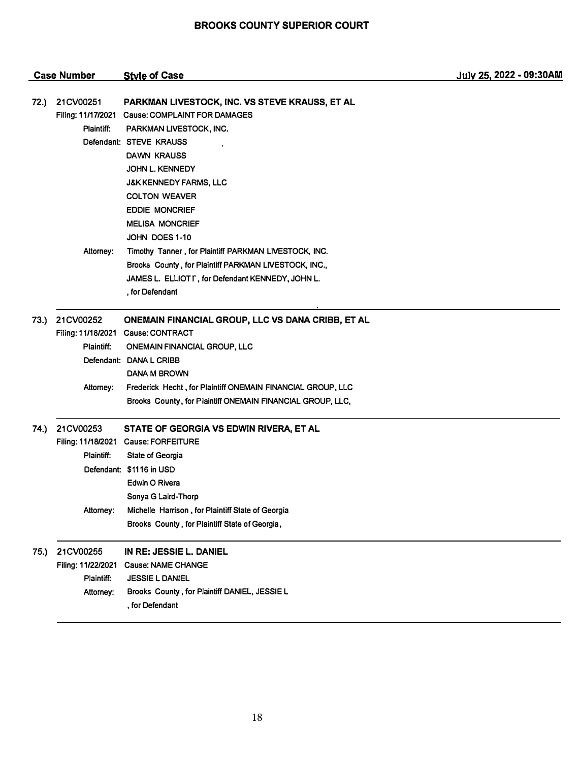$\ddot{\phantom{a}}$ 

| <b>Case Number</b> |                                 | <b>Style of Case</b>                                                           | July 25, 2022 - 09:30AM |
|--------------------|---------------------------------|--------------------------------------------------------------------------------|-------------------------|
|                    |                                 |                                                                                |                         |
| 72.)               | 21CV00251<br>Filing: 11/17/2021 | PARKMAN LIVESTOCK, INC. VS STEVE KRAUSS, ET AL<br>Cause: COMPLAINT FOR DAMAGES |                         |
|                    | Plaintiff:                      | PARKMAN LIVESTOCK, INC.                                                        |                         |
|                    |                                 | Defendant: STEVE KRAUSS                                                        |                         |
|                    |                                 | DAWN KRAUSS                                                                    |                         |
|                    |                                 | <b>JOHN L. KENNEDY</b>                                                         |                         |
|                    |                                 | <b>J&amp;K KENNEDY FARMS, LLC</b>                                              |                         |
|                    |                                 | <b>COLTON WEAVER</b>                                                           |                         |
|                    |                                 | <b>EDDIE MONCRIEF</b>                                                          |                         |
|                    |                                 | <b>MELISA MONCRIEF</b>                                                         |                         |
|                    |                                 | JOHN DOES 1-10                                                                 |                         |
|                    | Attorney:                       | Timothy Tanner, for Plaintiff PARKMAN LIVESTOCK, INC.                          |                         |
|                    |                                 | Brooks County, for Plaintiff PARKMAN LIVESTOCK, INC.,                          |                         |
|                    |                                 | JAMES L. ELLIOTT, for Defendant KENNEDY, JOHN L.                               |                         |
|                    |                                 | , for Defendant                                                                |                         |
| 73.)               | 21CV00252                       | ONEMAIN FINANCIAL GROUP, LLC VS DANA CRIBB, ET AL                              |                         |
|                    |                                 | Filing: 11/18/2021 Cause: CONTRACT                                             |                         |
|                    | <b>Plaintiff:</b>               | <b>ONEMAIN FINANCIAL GROUP, LLC</b>                                            |                         |
|                    |                                 | Defendant: DANA L CRIBB                                                        |                         |
|                    |                                 | DANA M BROWN                                                                   |                         |
|                    | Attorney:                       | Frederick Hecht, for Plaintiff ONEMAIN FINANCIAL GROUP, LLC                    |                         |
|                    |                                 | Brooks County, for Plaintiff ONEMAIN FINANCIAL GROUP, LLC,                     |                         |
| 74.)               | 21CV00253                       | STATE OF GEORGIA VS EDWIN RIVERA, ET AL                                        |                         |
|                    |                                 | Filing: 11/18/2021 Cause: FORFEITURE                                           |                         |
|                    | Plaintiff:                      | <b>State of Georgia</b>                                                        |                         |
|                    |                                 | Defendant: \$1116 in USD                                                       |                         |
|                    |                                 | Edwin O Rivera                                                                 |                         |
|                    |                                 | Sonya G Laird-Thorp                                                            |                         |
|                    | Attorney:                       | Michelle Harrison, for Plaintiff State of Georgia                              |                         |
|                    |                                 | Brooks County, for Plaintiff State of Georgia,                                 |                         |
| 75.)               | 21CV00255                       | IN RE: JESSIE L. DANIEL                                                        |                         |
|                    | Filing: 11/22/2021              | <b>Cause: NAME CHANGE</b>                                                      |                         |
|                    | Plaintiff:                      | <b>JESSIE L DANIEL</b>                                                         |                         |
|                    | Attorney:                       | Brooks County, for Plaintiff DANIEL, JESSIE L                                  |                         |
|                    |                                 | , for Defendant                                                                |                         |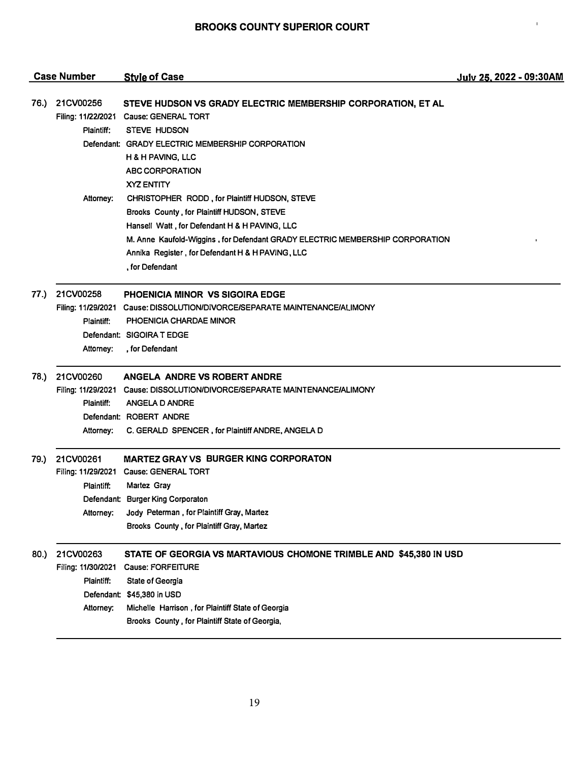$\bar{1}$ 

|      | <b>Case Number</b>                                         | <b>Style of Case</b>                                                                                                                                                                                                                                                                                | July 25, 2022 - 09:30AM |
|------|------------------------------------------------------------|-----------------------------------------------------------------------------------------------------------------------------------------------------------------------------------------------------------------------------------------------------------------------------------------------------|-------------------------|
| 76.) | 21CV00256<br>Plaintiff:                                    | STEVE HUDSON VS GRADY ELECTRIC MEMBERSHIP CORPORATION, ET AL<br>Filing: 11/22/2021 Cause: GENERAL TORT<br><b>STEVE HUDSON</b><br>Defendant: GRADY ELECTRIC MEMBERSHIP CORPORATION<br>H & H PAVING, LLC<br>ABC CORPORATION<br>XYZ ENTITY                                                             |                         |
|      | Attorney:                                                  | CHRISTOPHER RODD, for Plaintiff HUDSON, STEVE<br>Brooks County, for Plaintiff HUDSON, STEVE<br>Hansell Watt, for Defendant H & H PAVING, LLC<br>M. Anne Kaufold-Wiggins, for Defendant GRADY ELECTRIC MEMBERSHIP CORPORATION<br>Annika Register, for Defendant H & H PAVING, LLC<br>, for Defendant |                         |
| 77.) | 21CV00258<br>Plaintiff:<br>Attorney:                       | PHOENICIA MINOR VS SIGOIRA EDGE<br>Filing: 11/29/2021 Cause: DISSOLUTION/DIVORCE/SEPARATE MAINTENANCE/ALIMONY<br>PHOENICIA CHARDAE MINOR<br>Defendant: SIGOIRA T EDGE<br>, for Defendant                                                                                                            |                         |
| 78.) | 21CV00260<br>Plaintiff:<br>Attorney:                       | ANGELA ANDRE VS ROBERT ANDRE<br>Filing: 11/29/2021 Cause: DISSOLUTION/DIVORCE/SEPARATE MAINTENANCE/ALIMONY<br>ANGELA D ANDRE<br>Defendant: ROBERT ANDRE<br>C. GERALD SPENCER, for Plaintiff ANDRE, ANGELA D                                                                                         |                         |
| 79.) | 21CV00261<br>Plaintiff:<br>Attorney:                       | <b>MARTEZ GRAY VS BURGER KING CORPORATON</b><br>Filing: 11/29/2021 Cause: GENERAL TORT<br>Martez Gray<br>Defendant: Burger King Corporaton<br>Jody Peterman, for Plaintiff Gray, Martez<br>Brooks County, for Plaintiff Gray, Martez                                                                |                         |
| 80.) | 21CV00263<br>Filing: 11/30/2021<br>Plaintiff:<br>Attorney: | STATE OF GEORGIA VS MARTAVIOUS CHOMONE TRIMBLE AND \$45,380 IN USD<br><b>Cause: FORFEITURE</b><br><b>State of Georgia</b><br>Defendant: \$45,380 in USD<br>Michelle Harrison, for Plaintiff State of Georgia<br>Brooks County, for Plaintiff State of Georgia,                                      |                         |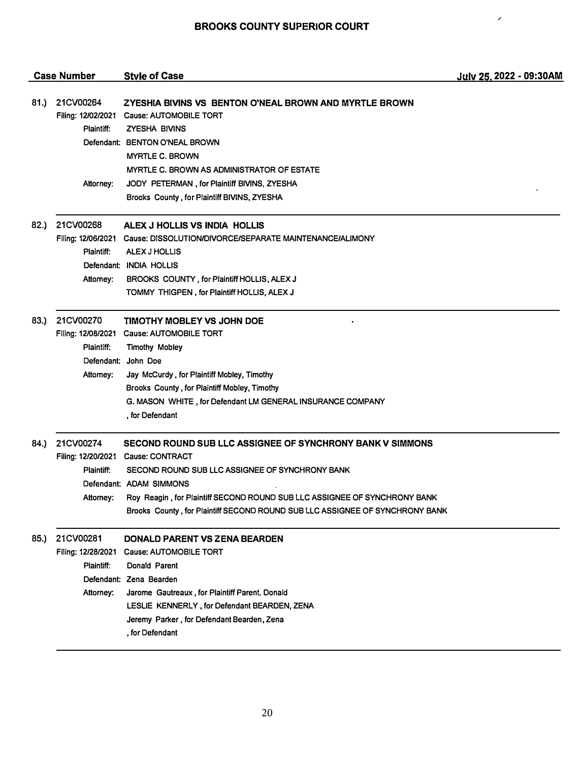/

|      | <b>Case Number</b>                                         | <b>Style of Case</b>                                                                                                                                                                                                                                                                                                                       | July 25, 2022 - 09:30AM |
|------|------------------------------------------------------------|--------------------------------------------------------------------------------------------------------------------------------------------------------------------------------------------------------------------------------------------------------------------------------------------------------------------------------------------|-------------------------|
| 81.) | 21CV00264<br>Plaintiff:                                    | ZYESHIA BIVINS VS BENTON O'NEAL BROWN AND MYRTLE BROWN<br>Filing: 12/02/2021 Cause: AUTOMOBILE TORT<br><b>ZYESHA BIVINS</b><br>Defendant: BENTON O'NEAL BROWN<br><b>MYRTLE C. BROWN</b><br>MYRTLE C. BROWN AS ADMINISTRATOR OF ESTATE                                                                                                      |                         |
|      | Attorney:                                                  | JODY PETERMAN, for Plaintiff BIVINS, ZYESHA<br>Brooks County, for Plaintiff BIVINS, ZYESHA                                                                                                                                                                                                                                                 |                         |
| 82.) | 21CV00268<br>Plaintiff:<br>Attomey:                        | ALEX J HOLLIS VS INDIA HOLLIS<br>Filing: 12/06/2021 Cause: DISSOLUTION/DIVORCE/SEPARATE MAINTENANCE/ALIMONY<br>ALEX J HOLLIS<br>Defendant: INDIA HOLLIS<br>BROOKS COUNTY, for Plaintiff HOLLIS, ALEX J<br>TOMMY THIGPEN, for Plaintiff HOLLIS, ALEX J                                                                                      |                         |
| 83.) | 21CV00270<br>Plaintiff:<br>Attorney:                       | <b>TIMOTHY MOBLEY VS JOHN DOE</b><br>Filing: 12/08/2021 Cause: AUTOMOBILE TORT<br><b>Timothy Mobley</b><br>Defendant: John Doe<br>Jay McCurdy, for Plaintiff Mobley, Timothy<br>Brooks County, for Plaintiff Mobley, Timothy<br>G. MASON WHITE, for Defendant LM GENERAL INSURANCE COMPANY<br>, for Defendant                              |                         |
| 84.) | 21CV00274<br>Plaintiff:<br>Attorney:                       | SECOND ROUND SUB LLC ASSIGNEE OF SYNCHRONY BANK V SIMMONS<br>Filing: 12/20/2021 Cause: CONTRACT<br>SECOND ROUND SUB LLC ASSIGNEE OF SYNCHRONY BANK<br>Defendant: ADAM SIMMONS<br>Roy Reagin, for Plaintiff SECOND ROUND SUB LLC ASSIGNEE OF SYNCHRONY BANK<br>Brooks County, for Plaintiff SECOND ROUND SUB LLC ASSIGNEE OF SYNCHRONY BANK |                         |
| 85.) | 21CV00281<br>Filing: 12/28/2021<br>Plaintiff:<br>Attorney: | DONALD PARENT VS ZENA BEARDEN<br>Cause: AUTOMOBILE TORT<br>Donald Parent<br>Defendant: Zena Bearden<br>Jarome Gautreaux, for Plaintiff Parent, Donald<br>LESLIE KENNERLY, for Defendant BEARDEN, ZENA<br>Jeremy Parker, for Defendant Bearden, Zena<br>, for Defendant                                                                     |                         |